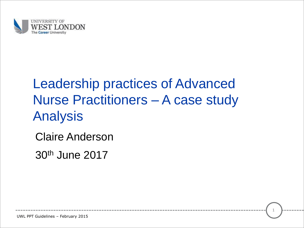

### Leadership practices of Advanced Nurse Practitioners – A case study Analysis

1

Claire Anderson

30th June 2017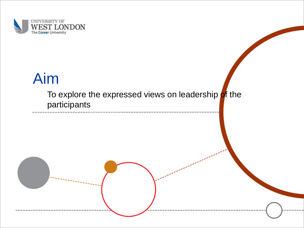

# Aim

To explore the expressed views on leadership of the participants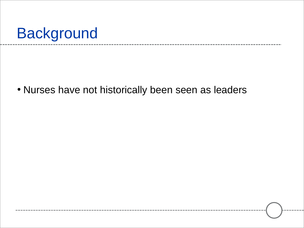# Background

• Nurses have not historically been seen as leaders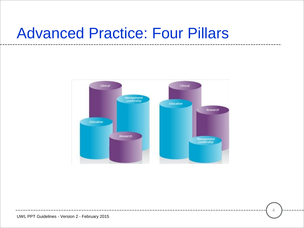## Advanced Practice: Four Pillars

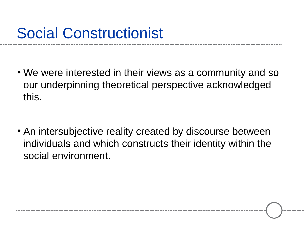# Social Constructionist

• We were interested in their views as a community and so our underpinning theoretical perspective acknowledged this.

• An intersubjective reality created by discourse between individuals and which constructs their identity within the social environment.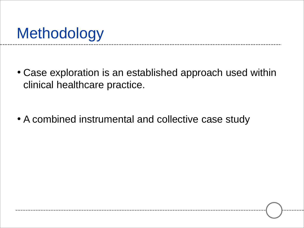# **Methodology**

- Case exploration is an established approach used within clinical healthcare practice.
- A combined instrumental and collective case study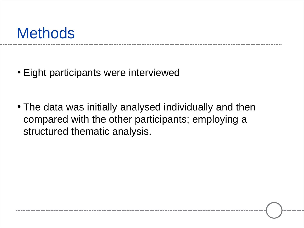## **Methods**

- Eight participants were interviewed
- The data was initially analysed individually and then compared with the other participants; employing a structured thematic analysis.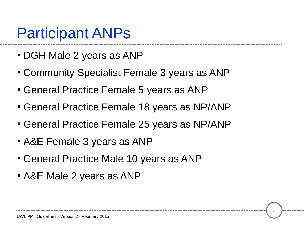## Participant ANPs

- DGH Male 2 years as ANP
- Community Specialist Female 3 years as ANP
- General Practice Female 5 years as ANP
- General Practice Female 18 years as NP/ANP
- General Practice Female 25 years as NP/ANP
- A&E Female 3 years as ANP
- General Practice Male 10 years as ANP
- A&E Male 2 years as ANP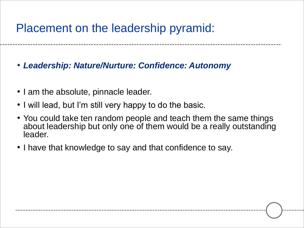#### Placement on the leadership pyramid:

• *Leadership: Nature/Nurture: Confidence: Autonomy* 

- I am the absolute, pinnacle leader.
- I will lead, but I'm still very happy to do the basic.
- You could take ten random people and teach them the same things about leadership but only one of them would be a really outstanding leader.
- I have that knowledge to say and that confidence to say.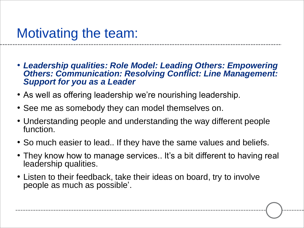- *Leadership qualities: Role Model: Leading Others: Empowering Others: Communication: Resolving Conflict: Line Management: Support for you as a Leader*
- As well as offering leadership we're nourishing leadership.
- See me as somebody they can model themselves on.
- Understanding people and understanding the way different people function.
- So much easier to lead.. If they have the same values and beliefs.
- They know how to manage services.. It's a bit different to having real leadership qualities.
- Listen to their feedback, take their ideas on board, try to involve people as much as possible'.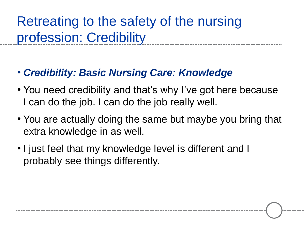### Retreating to the safety of the nursing profession: Credibility

#### • *Credibility: Basic Nursing Care: Knowledge*

- You need credibility and that's why I've got here because I can do the job. I can do the job really well.
- You are actually doing the same but maybe you bring that extra knowledge in as well.
- I just feel that my knowledge level is different and I probably see things differently.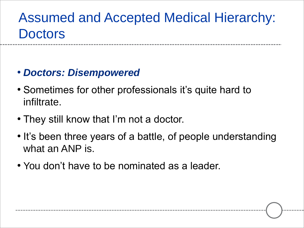### Assumed and Accepted Medical Hierarchy: **Doctors**

- *Doctors: Disempowered*
- Sometimes for other professionals it's quite hard to infiltrate.
- They still know that I'm not a doctor.
- It's been three years of a battle, of people understanding what an ANP is.
- You don't have to be nominated as a leader.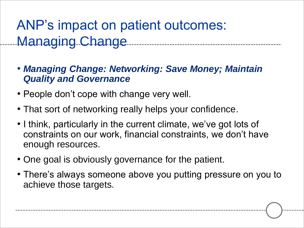ANP's impact on patient outcomes: Managing Change

• *Managing Change: Networking: Save Money; Maintain Quality and Governance*

- People don't cope with change very well.
- That sort of networking really helps your confidence.
- I think, particularly in the current climate, we've got lots of constraints on our work, financial constraints, we don't have enough resources.
- One goal is obviously governance for the patient.
- There's always someone above you putting pressure on you to achieve those targets.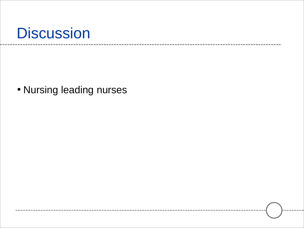## **Discussion**

• Nursing leading nurses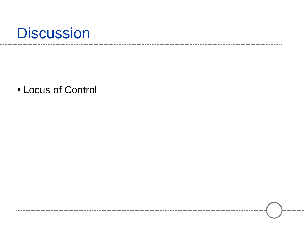## **Discussion**

• Locus of Control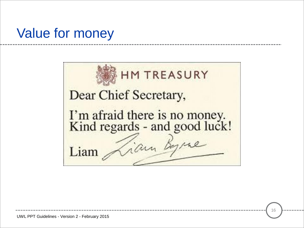#### Value for money

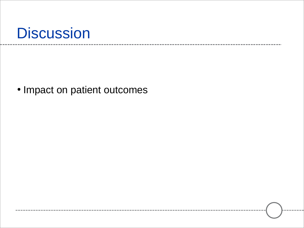

• Impact on patient outcomes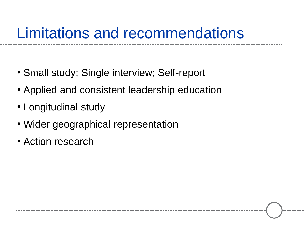## Limitations and recommendations

- Small study; Single interview; Self-report
- Applied and consistent leadership education
- Longitudinal study
- Wider geographical representation
- Action research